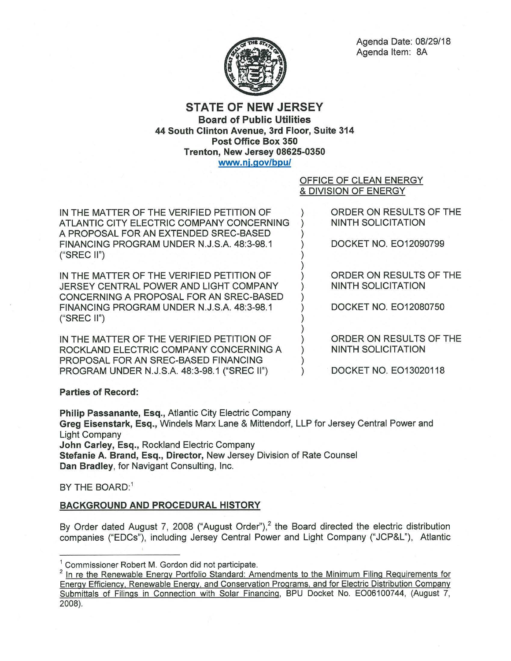

Agenda Date: 08/29/18 Agenda Item: 8A

STATE OF NEW JERSEY **Board of Public Utilities 44 South Clinton Avenue, 3rd Floor, Suite 314 Post Office Box 350 Trenton, New Jersey 08625-0350 www.nj.gov/bpu/** 

& DIVISION OF ENERGY

) ) ) ) ) ) ) ) ) ) )

IN THE MATTER OF THE VERIFIED PETITION OF ATLANTIC CITY ELECTRIC COMPANY CONCERNING ) A PROPOSAL FOR AN EXTENDED SREC-BASED ) FINANCING PROGRAM UNDER N.J.S.A. 48:3-98.1 )  $("SREC II")$ 

IN THE MATTER OF THE VERIFIED PETITION OF JERSEY CENTRAL POWER AND LIGHT COMPANY CONCERNING A PROPOSAL FOR AN SREC-BASED FINANCING PROGRAM UNDER N.J.S.A. 48:3-98.1 ("SREC II")

IN THE MATTER OF THE VERIFIED PETITION OF ROCKLAND ELECTRIC COMPANY CONCERNING A PROPOSAL FOR AN SREC-BASED FINANCING PROGRAM UNDER N.J.S.A. 48:3-98.1 ("SREC II")

OFFICE OF CLEAN ENERGY

ORDER ON RESULTS OF THE NINTH SOLICITATION

DOCKET NO. E012090799

ORDER ON RESULTS OF THE NINTH SOLICITATION

DOCKET NO. E012080750

ORDER ON RESULTS OF THE NINTH SOLICITATION

DOCKET NO. E013020118

**Parties of Record:** 

**Philip Passanante, Esq.,** Atlantic City Electric Company **Greg Eisenstark, Esq.,** Windels Marx Lane & Mittendorf, LLP for Jersey Central Power and Light Company **John Carley, Esq.,** Rockland Electric Company **Stefanie A. Brand, Esq., Director,** New Jersey Division of Rate Counsel **Dan Bradley,** for Navigant Consulting, Inc.

BY THE BOARD:<sup>1</sup>

## **BACKGROUND AND PROCEDURAL HISTORY**

By Order dated August 7, 2008 ("August Order"),<sup>2</sup> the Board directed the electric distribution companies ("EDCs"), including Jersey Central Power and Light Company ("JCP&L"), Atlantic

<sup>&</sup>lt;sup>1</sup> Commissioner Robert M. Gordon did not participate.<br><sup>2</sup> In re the Renewable Energy Portfolio Standard: Amendments to the Minimum Filing Requirements for Energy Efficiency, Renewable Energy, and Conservation Programs, and for Electric Distribution Company Submittals of Filings in Connection with Solar Financing, BPU Docket No. E006100744, (August 7, 2008).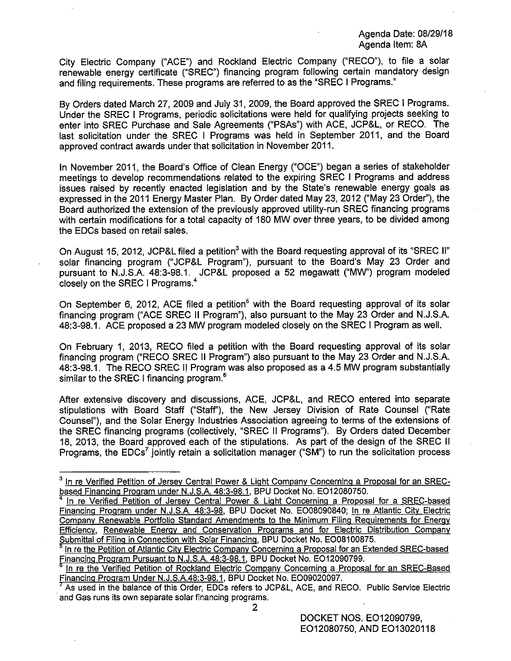Agenda Date: 08/29/18 Agenda Item: BA

City Electric Company ("ACE") and Rockland Electric Company ("REGO"), to file a solar renewable energy certificate ("SREC") financing program following certain mandatory design and filing requirements. These programs are referred to as the "SREC I Programs."

By Orders dated March 27, 2009 and July 31, 2009, the Board approved the SREC I Programs. Under the SREC I Programs, periodic solicitations were held for qualifying projects seeking to enter into SREC Purchase and Sale Agreements ("PSAs") with ACE, JCP&L, or REGO. The last solicitation under the SREC I Programs was held in September 2011, and the Board approved contract awards under that solicitation in November 2011.

In November 2011, the Board's Office of Clean Energy ("OGE") began a series of stakeholder meetings to develop recommendations related to the expiring SREC I Programs and address issues raised by recently enacted legislation and by the State's renewable energy goals as expressed in the 2011 Energy Master Plan. By Order dated May 23, 2012 ("May 23 Order''), the Board authorized the extension of the previously approved utility-run SREC financing programs with certain modifications for a total capacity of 180 MW over three years, to be divided among the EDCs based on retail sales.

On August 15, 2012, JCP&L filed a petition<sup>3</sup> with the Board requesting approval of its "SREC II" solar financing program ("JCP&L Program"), pursuant to the Board's May 23 Order and pursuant to N.J.S.A. 48:3-98.1. JCP&L proposed a 52 megawatt ("MW') program modeled closely on the SREC I Programs.<sup>4</sup>

On September 6, 2012, ACE filed a petition<sup>5</sup> with the Board requesting approval of its solar financing program ("ACE SREC II Program"), also pursuant to the May 23 Order and N.J.S.A. 48:3-98.1. ACE proposed a 23 MW program modeled closely on the SREC I Program as well.

On February 1, 2013, REGO filed a petition with the Board requesting approval of its solar financing program ("REGO SREC II Program") also pursuant to the May 23 Order and N.J.S.A. 48:3-98.1. The REGO SREC II Program was also proposed as a 4.5 MW program substantially similar to the SREC I financing program.<sup>6</sup>

After extensive discovery and discussions, ACE, JCP&L, and REGO entered into separate stipulations with Board Staff ("Staff'), the New Jersey Division of Rate Counsel ("Rate Counsel"), and the Solar Energy Industries Association agreeing to terms of the extensions of the SREC financing programs (collectively, "SREC II Programs"). By Orders dated December 18, 2013, the Board approved each of the stipulations. As part of the design of the SREC II Programs, the EDCs7 jointly retain a solicitation manager **("SM")** to run the solicitation process

<sup>&</sup>lt;sup>3</sup> In re Verified Petition of Jersey Central Power & Light Company Concerning a Proposal for an SRECbased Financing Program under N.J.S.A. 48:3-98.1, BPU Docket No. E012080750.

In re Verified Petition of Jersey Central Power & Light Concerning a Proposal for a SREC-based Financing Program under N.J.S.A. 48:3-98, BPU Docket No. E008090840; In re Atlantic City Electric Company Renewable Portfolio Standard Amendments to the Minimum Filing Requirements for Energy Efficiency, Renewable Energy and Conservation Programs and for Electric Distribution Company Submittal of Filing in Connection with Solar Financing, BPU Docket No. E008100875.

In re the Petition of Atlantic City Electric Company Concerning a Proposal for an Extended SREC-based Financing Program Pursuant to N.J.S.A. 48:3-98.1, BPU Docket No. EO12090799.

In re the Verified Petition of Rockland Electric Company Concerning a Proposal for an SREC-Based Financing Program Under N.J.S.A.48:3-98.1, BPU Docket No. E009020097.

<sup>1</sup>As used in the balance of this Order, EDCs refers to JCP&L, ACE, and RECO. Public Service Electric and Gas runs its own separate solar financing programs.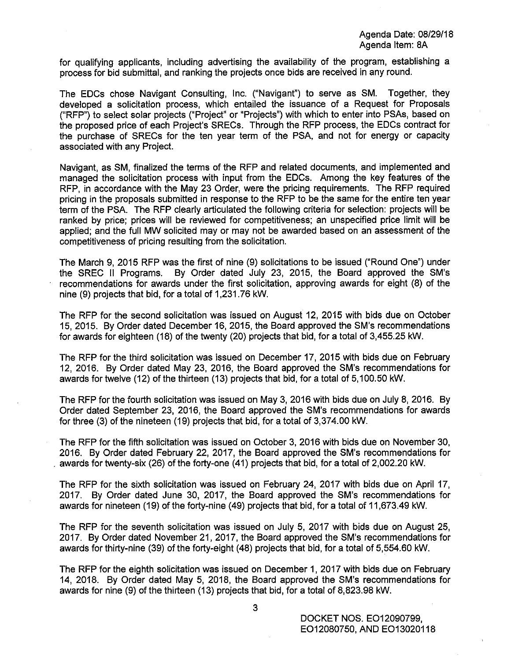for qualifying applicants, including advertising the availability of the program, establishing a process for bid submittal, and ranking the projects once bids are received in any round.

The EDCs chose Navigant Consulting, Inc. ("Navigant") to serve as **SM.** Together, they developed a solicitation process, which entailed the issuance of a Request for Proposals ("RFP") to select solar projects ("Project" or "Projects") with which to enter into PSAs, based on the proposed price of each Project's SRECs. Through the RFP process, the EDCs contract for the purchase of SRECs for the ten year term of the PSA, and not for energy or capacity associated with any Project.

Navigant, as SM, finalized the terms of the RFP and related documents, and implemented and managed the solicitation process with input from the EDCs. Among the key features of the RFP, in accordance with the May 23 Order, were the pricing requirements. The RFP required pricing in the proposals submitted in response to the RFP to be the same for the entire ten year term of the PSA. The RFP clearly articulated the following criteria for selection: projects will be ranked by price; prices will be reviewed for competitiveness; an unspecified price limit will be applied; and the full **MW** solicited may or may not be awarded based on an assessment of the competitiveness of pricing resulting from the solicitation.

The March 9, 2015 RFP was the first of nine (9) solicitations to be issued ("Round One") under the SREC II Programs. By Order dated July 23, 2015, the Board approved the SM's recommendations for awards under the first solicitation, approving awards for eight (8) of the nine (9) projects that bid, for a total of 1,231.76 kW.

The RFP for the second solicitation was issued on August 12, 2015 with bids due on October 15, 2015. By Order dated December 16, 2015, the Board approved the SM's recommendations for awards for eighteen (18) of the twenty (20) projects that bid, for a total of 3,455.25 kW.

The RFP for the third solicitation was issued on December 17, 2015 with bids due on February 12, 2016. By Order dated May 23, 2016, the Board approved the SM's recommendations for awards for twelve (12) of the thirteen (13) projects that bid, for a total of 5,100.50 kW.

The RFP for the fourth solicitation was issued on May 3, 2016 with bids due on July 8, 2016. By Order dated September 23, 2016, the Board approved the SM's recommendations for awards for three (3) of the nineteen (19) projects that bid, for a total of 3,374.00 kW.

The RFP for the fifth solicitation was issued on October 3, 2016 with bids due on November 30, 2016. By Order dated February 22, 2017, the Board approved the SM's recommendations for . awards for twenty-six (26) of the forty-one (41) projects that bid, for a total of 2,002.20 kW.

The RFP for the sixth solicitation was issued on February 24, 2017 with bids due on April 17, 2017. By Order dated June 30, 2017, the Board approved the SM's recommendations for awards for nineteen (19) of the forty-nine (49) projects that bid, for a total of 11,673.49 kW.

The RFP for the seventh solicitation was issued on July 5, 2017 with bids due on August 25, 2017. By Order dated November 21, 2017, the Board approved the SM's recommendations for awards for thirty-nine (39) of the forty-eight (48) projects that bid, for a total of 5,554.60 kW.

The RFP for the eighth solicitation was issued on December 1, 2017 with bids due on February 14, 2018. By Order dated May 5, 2018, the Board approved the SM's recommendations for awards for nine (9) of the thirteen (13) projects that bid, for a total of 8,823.98 kW.

> DOCKET NOS. E012090799, E012080750, AND E013020118

3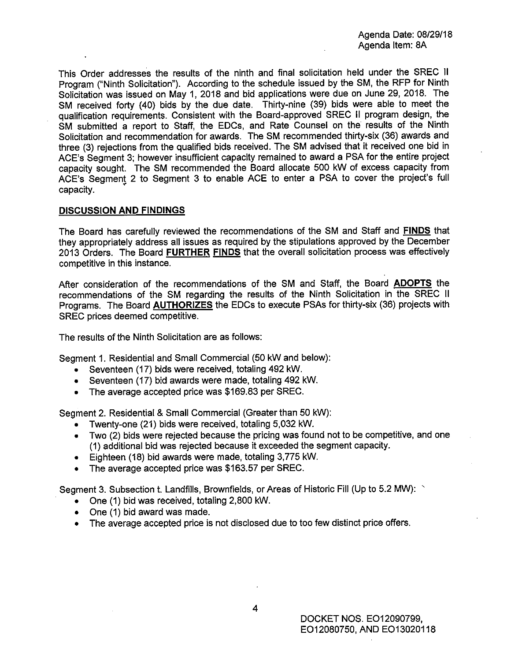This Order addresses the results of the ninth and final solicitation held under the SREC II Program ("Ninth Solicitation"). According to the schedule issued by the SM, the RFP for Ninth Solicitation was issued on May 1, 2018 and bid applications were due on June 29, 2018. The SM received forty (40) bids by the due date. Thirty-nine (39) bids were able to meet the qualification requirements. Consistent with the Board-approved SREC II program design, the SM submitted a report to Staff, the EDCs, and Rate Counsel on the results of the Ninth Solicitation and recommendation for awards. The SM recommended thirty-six (36) awards and three (3) rejections from the qualified bids received. The SM advised that it received one bid in ACE's Segment 3; however insufficient capacity remained to award a PSA for the entire project capacity sought. The SM recommended the Board allocate 500 kW of excess capacity from ACE's Segment 2 to Segment 3 to enable ACE to enter a PSA to cover the project's full capacity.

## **DISCUSSION AND FINDINGS**

The Board has carefully reviewed the recommendations of the SM and Staff and **FINDS** that they appropriately address all issues as required by the stipulations approved by the December 2013 Orders. The Board **FURTHER FINDS** that the overall solicitation process was effectively competitive in this instance.

After consideration of the recommendations of the SM and Staff, the Board **ADOPTS** the recommendations of the SM regarding the results of the Ninth Solicitation in the SREC II Programs. The Board **AUTHORIZES** the EDCs to execute PSAs for thirty-six (36) projects with SREC prices deemed competitive.

The results of the Ninth Solicitation are as follows:

Segment 1. Residential and Small Commercial (50 kW and below):

- Seventeen (17) bids were received, totaling 492 kW.
- Seventeen (17) bid awards were made, totaling 492 kW.
- The average accepted price was \$169.83 per SREC.

Segment 2. Residential & Small Commercial (Greater than 50 kW):

- Twenty-one (21) bids were received, totaling 5,032 kW.
- Two (2) bids were rejected because the pricing was found not to be competitive, and one (1) additional bid was rejected because it exceeded the segment capacity.
- Eighteen (18) bid awards were made, totaling 3,775 kW.
- The average accepted price was \$163.57 per SREC.

Segment 3. Subsection t. Landfills, Brownfields, or Areas of Historic Fill (Up to 5.2 MW):  $\ge$ 

- One (1) bid was received, totaling 2,800 kW.
- One (1) bid award was made.
- The average accepted price is not disclosed due to too few distinct price offers.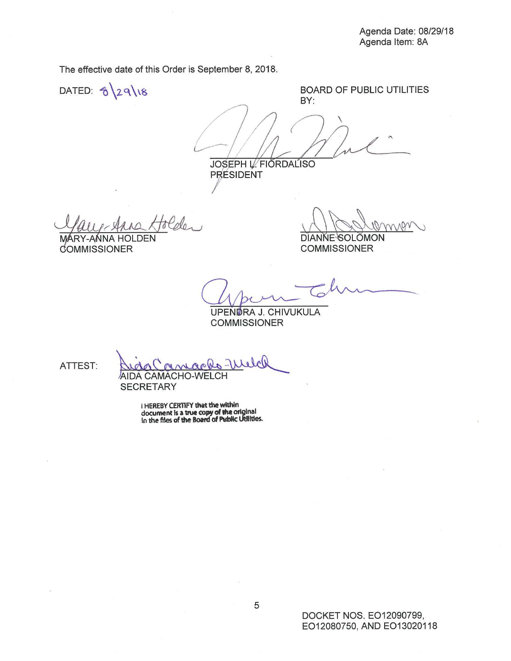The effective date of this Order is September 8, 2018.

 $DATA 5 \ 29 \ 18$ 

BOARD OF PUBLIC UTILITIES BY:

ON COLONON  $^{\circ}$ **PRÉSIDENT** 

MÆ **COMMISSIONER** 

COMMISSIONER

UPENØRA J. CHIVUKULA<br>COMMISSIONER

ATTEST:

 $\mathfrak{g}(\mathfrak{g})$ AIDA CAMACHO-WELCH

**SECRETARY** 

I HEREBY CERTIFY that the within<br>document is a true copy of the original In **the Mes of the Board of P\lbllc lltlltles.**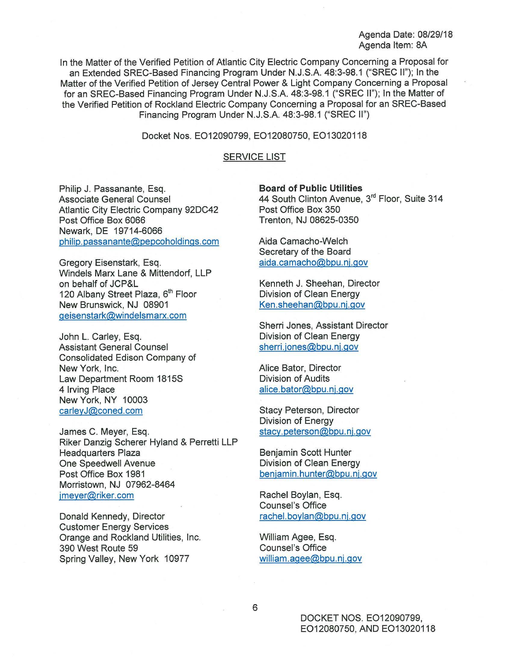Agenda Date: 08/29/18 Agenda Item: BA

In the Matter of the Verified Petition of Atlantic City Electric Company Concerning a Proposal for an Extended SREC-Based Financing Program Under N.J.S.A. 48:3-98.1 ("SREC II"); In the Matter of the Verified Petition of Jersey Central Power & Light Company Concerning a Proposal for an SREC-Based Financing Program Under N.J.S.A. 48:3-98.1 ("SREC II"); In the Matter of the Verified Petition of Rockland Electric Company Concerning a Proposal for an SREC-Based Financing Program Under N.J.S.A. 48:3-98.1 ("SREC II")

Docket Nos. E012090799, E012080750, E013020118

## SERVICE LIST

Philip J. Passanante, Esq. Associate General Counsel Atlantic City Electric Company 92DC42 Post Office Box 6066 Newark, DE 19714-6066 philip. passanante@pepcoholdings.com

Gregory Eisenstark, Esq. Windels Marx Lane & Mittendorf, LLP on behalf of JCP&L 120 Albany Street Plaza, 6<sup>th</sup> Floor New Brunswick, NJ 08901 geisenstark@windelsmarx.com

John L. Carley, Esq. Assistant General Counsel Consolidated Edison Company of New York, Inc. Law Department Room 1815S 4 Irving Place **New** York, NY 10003 carleyJ@coned.com

James C. Meyer, Esq. Riker Danzig Scherer Hyland & Perretti LLP Headquarters Plaza One Speedwell Avenue Post Office Box 1981 Morristown, NJ 07962-8464 jmeyer@riker.com

Donald Kennedy, Director Customer Energy Services Orange and Rockland Utilities, Inc. 390 West Route 59 Spring Valley, New York 10977

**Board of Public Utilities**  44 South Clinton Avenue, 3<sup>rd</sup> Floor, Suite 314 Post Office Box 350 Trenton, NJ 08625-0350

Aida Camacho-Welch Secretary of the Board aida. camacho@bpu.nj.gov

Kenneth J. Sheehan, Director Division of Clean Energy Ken.sheehan@bpu.nj.gov

Sherri Jones, Assistant Director Division of Clean Energy sherri.jones@bpu.nj.gov

Alice Bator, Director Division of Audits alice.bator@bpu.nj.gov

Stacy Peterson, Director Division of Energy stacy.peterson@bpu.nj.gov

Benjamin Scott Hunter Division of Clean Energy benjamin.hunter@bpu.nj.gov

Rachel Boylan, Esq. Counsel's Office rachel.boylan@bpu.nj.gov

William Agee, Esq. Counsel's Office william.agee@bpu.nj.gov